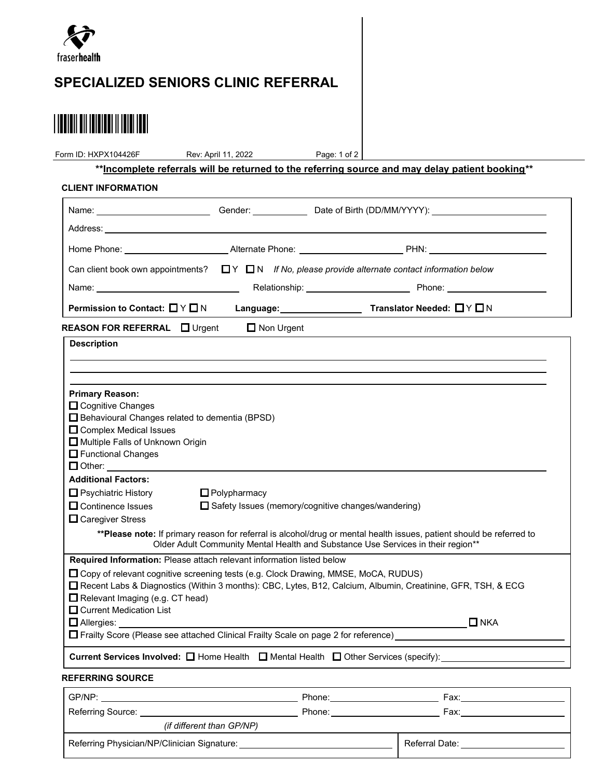

## SPECIALIZED SENIORS CLINIC REFERRAL

# 

Page: 1 of 2 Form ID: HXPX104426F Rev: April 11, 2022

\*\*Incomplete referrals will be returned to the referring source and may delay patient booking\*\*

#### CLIENT INFORMATION

| Address: the contract of the contract of the contract of the contract of the contract of the contract of the contract of the contract of the contract of the contract of the contract of the contract of the contract of the c                                                                                                                                                                                                                               |                     |                                                                                                                                               |            |
|--------------------------------------------------------------------------------------------------------------------------------------------------------------------------------------------------------------------------------------------------------------------------------------------------------------------------------------------------------------------------------------------------------------------------------------------------------------|---------------------|-----------------------------------------------------------------------------------------------------------------------------------------------|------------|
|                                                                                                                                                                                                                                                                                                                                                                                                                                                              |                     |                                                                                                                                               |            |
| Can client book own appointments? $\Box Y \Box N$ If No, please provide alternate contact information below                                                                                                                                                                                                                                                                                                                                                  |                     |                                                                                                                                               |            |
| Name: Name: Name: Name: Name: Name: Name: Name: Name: Name: Name: Name: Name: Name: Name: Name: Name: Name: Name: Name: Name: Name: Name: Name: Name: Name: Name: Name: Name: Name: Name: Name: Name: Name: Name: Name: Name:                                                                                                                                                                                                                                |                     |                                                                                                                                               |            |
| Permission to Contact: □ Y □ N                                                                                                                                                                                                                                                                                                                                                                                                                               |                     |                                                                                                                                               |            |
| REASON FOR REFERRAL I Urgent                                                                                                                                                                                                                                                                                                                                                                                                                                 | $\Box$ Non Urgent   |                                                                                                                                               |            |
| <b>Description</b>                                                                                                                                                                                                                                                                                                                                                                                                                                           |                     |                                                                                                                                               |            |
|                                                                                                                                                                                                                                                                                                                                                                                                                                                              |                     |                                                                                                                                               |            |
|                                                                                                                                                                                                                                                                                                                                                                                                                                                              |                     |                                                                                                                                               |            |
| <b>Primary Reason:</b><br>$\Box$ Cognitive Changes<br>□ Behavioural Changes related to dementia (BPSD)<br>□ Complex Medical Issues<br>Multiple Falls of Unknown Origin<br>Functional Changes<br>$\Box$ Other:<br><b>Additional Factors:</b><br>$\Box$ Psychiatric History<br>$\square$ Continence Issues<br>$\Box$ Caregiver Stress<br>** Please note: If primary reason for referral is alcohol/drug or mental health issues, patient should be referred to | $\Box$ Polypharmacy | $\Box$ Safety Issues (memory/cognitive changes/wandering)<br>Older Adult Community Mental Health and Substance Use Services in their region** |            |
| Required Information: Please attach relevant information listed below                                                                                                                                                                                                                                                                                                                                                                                        |                     |                                                                                                                                               |            |
| □ Copy of relevant cognitive screening tests (e.g. Clock Drawing, MMSE, MoCA, RUDUS)<br>□ Recent Labs & Diagnostics (Within 3 months): CBC, Lytes, B12, Calcium, Albumin, Creatinine, GFR, TSH, & ECG<br>Relevant Imaging (e.g. CT head)<br>$\Box$ Current Medication List                                                                                                                                                                                   |                     |                                                                                                                                               |            |
| □ Allergies: _________________                                                                                                                                                                                                                                                                                                                                                                                                                               |                     |                                                                                                                                               | $\Box$ NKA |
| □ Frailty Score (Please see attached Clinical Frailty Scale on page 2 for reference)                                                                                                                                                                                                                                                                                                                                                                         |                     |                                                                                                                                               |            |
| <b>Current Services Involved:</b> $\Box$ Home Health $\Box$ Mental Health $\Box$ Other Services (specify):                                                                                                                                                                                                                                                                                                                                                   |                     |                                                                                                                                               |            |
| <b>REFERRING SOURCE</b>                                                                                                                                                                                                                                                                                                                                                                                                                                      |                     |                                                                                                                                               |            |
| GP/NP·                                                                                                                                                                                                                                                                                                                                                                                                                                                       |                     | Phone:                                                                                                                                        | Fax:       |

| GP/NP:                                      | Phone: | Fax:           |
|---------------------------------------------|--------|----------------|
| Referring Source:                           | Phone: | Fax:           |
| (if different than GP/NP)                   |        |                |
| Referring Physician/NP/Clinician Signature: |        | Referral Date: |